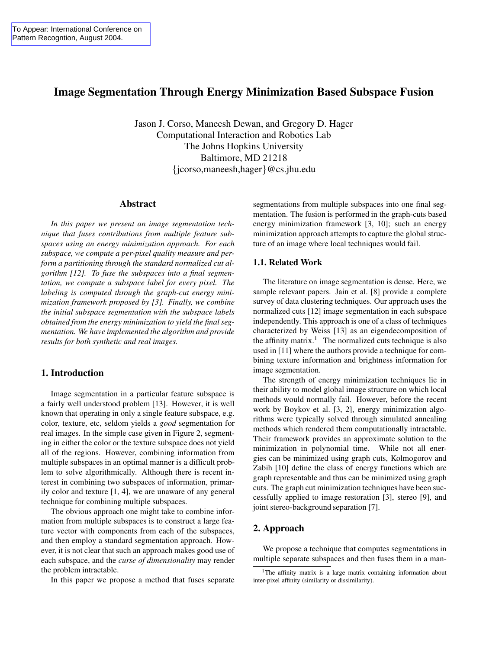# **Image Segmentation Through Energy Minimization Based Subspace Fusion**

Jason J. Corso, Maneesh Dewan, and Gregory D. Hager Computational Interaction and Robotics Lab The Johns Hopkins University Baltimore, MD 21218 {jcorso,maneesh,hager}@cs.jhu.edu

#### **Abstract**

*In this paper we present an image segmentation technique that fuses contributions from multiple feature subspaces using an energy minimization approach. For each subspace, we compute a per-pixel quality measure and perform a partitioning through the standard normalized cut algorithm [12]. To fuse the subspaces into a final segmentation, we compute a subspace label for every pixel. The labeling is computed through the graph-cut energy minimization framework proposed by [3]. Finally, we combine the initial subspace segmentation with the subspace labels obtained from the energy minimization to yield the final segmentation. We have implemented the algorithm and provide results for both synthetic and real images.*

# **1. Introduction**

Image segmentation in a particular feature subspace is a fairly well understood problem [13]. However, it is well known that operating in only a single feature subspace, e.g. color, texture, etc, seldom yields a *good* segmentation for real images. In the simple case given in Figure 2, segmenting in either the color or the texture subspace does not yield all of the regions. However, combining information from multiple subspaces in an optimal manner is a difficult problem to solve algorithmically. Although there is recent interest in combining two subspaces of information, primarily color and texture [1, 4], we are unaware of any general technique for combining multiple subspaces.

The obvious approach one might take to combine information from multiple subspaces is to construct a large feature vector with components from each of the subspaces, and then employ a standard segmentation approach. However, it is not clear that such an approach makes good use of each subspace, and the *curse of dimensionality* may render the problem intractable.

In this paper we propose a method that fuses separate

segmentations from multiple subspaces into one final segmentation. The fusion is performed in the graph-cuts based energy minimization framework [3, 10]; such an energy minimization approach attempts to capture the global structure of an image where local techniques would fail.

#### **1.1. Related Work**

The literature on image segmentation is dense. Here, we sample relevant papers. Jain et al. [8] provide a complete survey of data clustering techniques. Our approach uses the normalized cuts [12] image segmentation in each subspace independently. This approach is one of a class of techniques characterized by Weiss [13] as an eigendecomposition of the affinity matrix.<sup>1</sup> The normalized cuts technique is also used in [11] where the authors provide a technique for combining texture information and brightness information for image segmentation.

The strength of energy minimization techniques lie in their ability to model global image structure on which local methods would normally fail. However, before the recent work by Boykov et al. [3, 2], energy minimization algorithms were typically solved through simulated annealing methods which rendered them computationally intractable. Their framework provides an approximate solution to the minimization in polynomial time. While not all energies can be minimized using graph cuts, Kolmogorov and Zabih [10] define the class of energy functions which are graph representable and thus can be minimized using graph cuts. The graph cut minimization techniques have been successfully applied to image restoration [3], stereo [9], and joint stereo-background separation [7].

# **2. Approach**

We propose a technique that computes segmentations in multiple separate subspaces and then fuses them in a man-

<sup>&</sup>lt;sup>1</sup>The affinity matrix is a large matrix containing information about inter-pixel affinity (similarity or dissimilarity).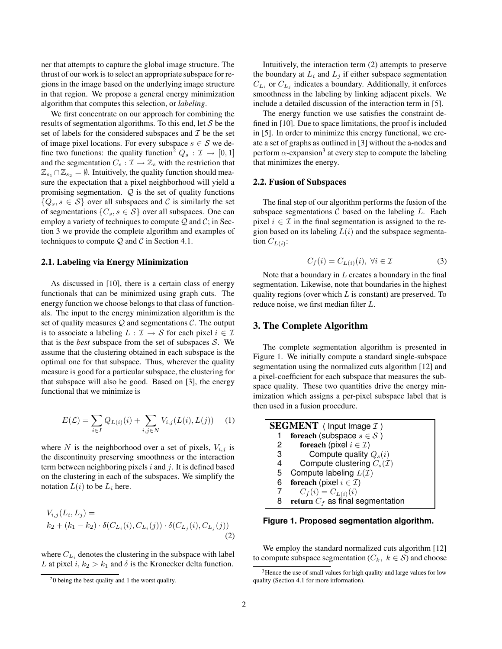ner that attempts to capture the global image structure. The thrust of our work is to select an appropriate subspace for regions in the image based on the underlying image structure in that region. We propose a general energy minimization algorithm that computes this selection, or *labeling*.

We first concentrate on our approach for combining the results of segmentation algorithms. To this end, let  $S$  be the set of labels for the considered subspaces and  $\mathcal I$  be the set of image pixel locations. For every subspace  $s \in \mathcal{S}$  we define two functions: the quality function<sup>2</sup>  $Q_s : \mathcal{I} \to [0,1]$ and the segmentation  $C_s : \mathcal{I} \to \mathbb{Z}_s$  with the restriction that  $\mathbb{Z}_{s_1} \cap \mathbb{Z}_{s_2} = \emptyset$ . Intuitively, the quality function should measure the expectation that a pixel neighborhood will yield a promising segmentation.  $Q$  is the set of quality functions  $\{Q_s, s \in S\}$  over all subspaces and C is similarly the set of segmentations  $\{C_s, s \in \mathcal{S}\}$  over all subspaces. One can employ a variety of techniques to compute  $Q$  and  $C$ ; in Section 3 we provide the complete algorithm and examples of techniques to compute  $Q$  and  $C$  in Section 4.1.

### **2.1. Labeling via Energy Minimization**

As discussed in [10], there is a certain class of energy functionals that can be minimized using graph cuts. The energy function we choose belongs to that class of functionals. The input to the energy minimization algorithm is the set of quality measures  $Q$  and segmentations  $C$ . The output is to associate a labeling  $L : \mathcal{I} \to \mathcal{S}$  for each pixel  $i \in \mathcal{I}$ that is the *best* subspace from the set of subspaces  $S$ . We assume that the clustering obtained in each subspace is the optimal one for that subspace. Thus, wherever the quality measure is good for a particular subspace, the clustering for that subspace will also be good. Based on [3], the energy functional that we minimize is

$$
E(\mathcal{L}) = \sum_{i \in I} Q_{L(i)}(i) + \sum_{i,j \in N} V_{i,j}(L(i), L(j)) \tag{1}
$$

where N is the neighborhood over a set of pixels,  $V_{i,j}$  is the discontinuity preserving smoothness or the interaction term between neighboring pixels i and  $i$ . It is defined based on the clustering in each of the subspaces. We simplify the notation  $L(i)$  to be  $L_i$  here.

$$
V_{i,j}(L_i, L_j) =
$$
  
\n
$$
k_2 + (k_1 - k_2) \cdot \delta(C_{L_i}(i), C_{L_i}(j)) \cdot \delta(C_{L_j}(i), C_{L_j}(j))
$$
  
\n(2)

where  $C_{L_i}$  denotes the clustering in the subspace with label L at pixel i,  $k_2 > k_1$  and  $\delta$  is the Kronecker delta function.

Intuitively, the interaction term (2) attempts to preserve the boundary at  $L_i$  and  $L_j$  if either subspace segmentation  $C_{L_i}$  or  $C_{L_j}$  indicates a boundary. Additionally, it enforces smoothness in the labeling by linking adjacent pixels. We include a detailed discussion of the interaction term in [5].

The energy function we use satisfies the constraint defined in [10]. Due to space limitations, the proof is included in [5]. In order to minimize this energy functional, we create a set of graphs as outlined in [3] without the a-nodes and perform  $\alpha$ -expansion<sup>3</sup> at every step to compute the labeling that minimizes the energy.

#### **2.2. Fusion of Subspaces**

The final step of our algorithm performs the fusion of the subspace segmentations  $C$  based on the labeling  $L$ . Each pixel  $i \in \mathcal{I}$  in the final segmentation is assigned to the region based on its labeling  $L(i)$  and the subspace segmentation  $C_{L(i)}$ :

$$
C_f(i) = C_{L(i)}(i), \ \forall i \in \mathcal{I}
$$
 (3)

Note that a boundary in  $L$  creates a boundary in the final segmentation. Likewise, note that boundaries in the highest quality regions (over which  $L$  is constant) are preserved. To reduce noise, we first median filter L.

### **3. The Complete Algorithm**

The complete segmentation algorithm is presented in Figure 1. We initially compute a standard single-subspace segmentation using the normalized cuts algorithm [12] and a pixel-coefficient for each subspace that measures the subspace quality. These two quantities drive the energy minimization which assigns a per-pixel subspace label that is then used in a fusion procedure.

|    | <b>SEGMENT</b> ( Input Image $\mathcal{I}$ ) |
|----|----------------------------------------------|
|    | for each (subspace $s \in \mathcal{S}$ )     |
| 2  | foreach (pixel $i \in \mathcal{I}$ )         |
| 3  | Compute quality $Q_s(i)$                     |
| 4  | Compute clustering $C_s(\mathcal{I})$        |
| 5. | Compute labeling $L(\mathcal{I})$            |
| 6  | foreach (pixel $i \in \mathcal{I}$ )         |
|    | $C_f(i) = C_{L(i)}(i)$                       |
| 8  | return $C_f$ as final segmentation           |
|    |                                              |

**Figure 1. Proposed segmentation algorithm.**

We employ the standard normalized cuts algorithm [12] to compute subspace segmentation ( $C_k$ ,  $k \in S$ ) and choose

 $20$  being the best quality and 1 the worst quality.

<sup>&</sup>lt;sup>3</sup>Hence the use of small values for high quality and large values for low quality (Section 4.1 for more information).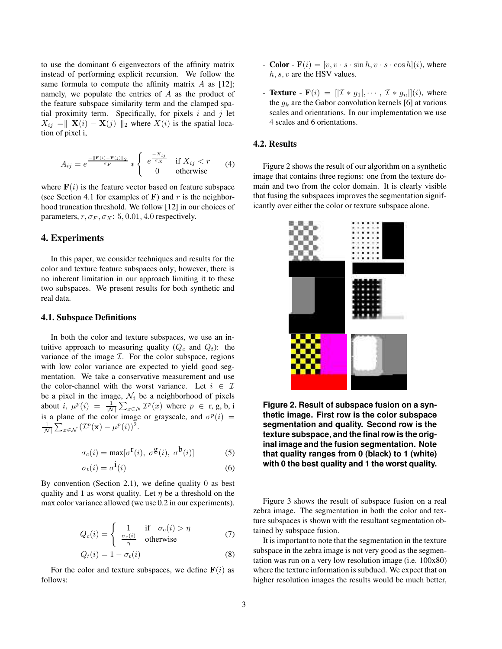to use the dominant 6 eigenvectors of the affinity matrix instead of performing explicit recursion. We follow the same formula to compute the affinity matrix  $A$  as [12]; namely, we populate the entries of A as the product of the feature subspace similarity term and the clamped spatial proximity term. Specifically, for pixels  $i$  and  $j$  let  $X_{ij} = \| \mathbf{X}(i) - \mathbf{X}(j) \|_2$  where  $X(i)$  is the spatial location of pixel i,

$$
A_{ij} = e^{\frac{-\|\mathbf{F}(i) - \mathbf{F}(j)\|_2}{\sigma_F}} * \begin{cases} e^{\frac{-X_{ij}}{\sigma_X}} & \text{if } X_{ij} < r \\ 0 & \text{otherwise} \end{cases}
$$
 (4)

where  $F(i)$  is the feature vector based on feature subspace (see Section 4.1 for examples of  $\bf{F}$ ) and r is the neighborhood truncation threshold. We follow [12] in our choices of parameters,  $r, \sigma_F, \sigma_X$ : 5, 0.01, 4.0 respectively.

### **4. Experiments**

In this paper, we consider techniques and results for the color and texture feature subspaces only; however, there is no inherent limitation in our approach limiting it to these two subspaces. We present results for both synthetic and real data.

#### **4.1. Subspace Definitions**

In both the color and texture subspaces, we use an intuitive approach to measuring quality  $(Q_c \text{ and } Q_t)$ : the variance of the image  $I$ . For the color subspace, regions with low color variance are expected to yield good segmentation. We take a conservative measurement and use the color-channel with the worst variance. Let  $i \in \mathcal{I}$ be a pixel in the image,  $\mathcal{N}_i$  be a neighborhood of pixels about i,  $\mu^p(i) = \frac{1}{|N|} \sum_{x \in N} \mathcal{I}^p(x)$  where  $p \in \mathbf{r}, \mathbf{g}, \mathbf{b}, \mathbf{i}$ is a plane of the color image or grayscale, and  $\sigma^p(i)$  =  $\frac{1}{|\mathcal{N}|}\sum_{x\in\mathcal{N}}\left(\mathcal{I}^p(\mathbf{x})-\mu^p(i)\right)^2.$ 

$$
\sigma_c(i) = \max[\sigma^{\mathbf{r}}(i), \ \sigma^{\mathbf{g}}(i), \ \sigma^{\mathbf{b}}(i)] \tag{5}
$$

$$
\sigma_t(i) = \sigma^{\dot{1}}(i) \tag{6}
$$

By convention (Section 2.1), we define quality  $0$  as best quality and 1 as worst quality. Let  $\eta$  be a threshold on the max color variance allowed (we use 0.2 in our experiments).

$$
Q_c(i) = \begin{cases} 1 & \text{if } \sigma_c(i) > \eta \\ \frac{\sigma_c(i)}{\eta} & \text{otherwise} \end{cases}
$$
 (7)

$$
Q_t(i) = 1 - \sigma_t(i) \tag{8}
$$

For the color and texture subspaces, we define  $F(i)$  as follows:

- **Color**  $F(i) = [v, v \cdot s \cdot \sin h, v \cdot s \cdot \cos h](i)$ , where  $h, s, v$  are the HSV values.
- **Texture**  $\mathbf{F}(i) = [X * g_1, \cdots, X * g_n]](i)$ , where the  $q_k$  are the Gabor convolution kernels [6] at various scales and orientations. In our implementation we use 4 scales and 6 orientations.

# **4.2. Results**

Figure 2 shows the result of our algorithm on a synthetic image that contains three regions: one from the texture domain and two from the color domain. It is clearly visible that fusing the subspaces improves the segmentation significantly over either the color or texture subspace alone.



**Figure 2. Result of subspace fusion on a synthetic image. First row is the color subspace segmentation and quality. Second row is the texture subspace, and the finalrow is the original image and the fusion segmentation. Note that quality ranges from 0 (black) to 1 (white) with 0 the best quality and 1 the worst quality.**

Figure 3 shows the result of subspace fusion on a real zebra image. The segmentation in both the color and texture subspaces is shown with the resultant segmentation obtained by subspace fusion.

It is important to note that the segmentation in the texture subspace in the zebra image is not very good as the segmentation was run on a very low resolution image (i.e. 100x80) where the texture information is subdued. We expect that on higher resolution images the results would be much better,